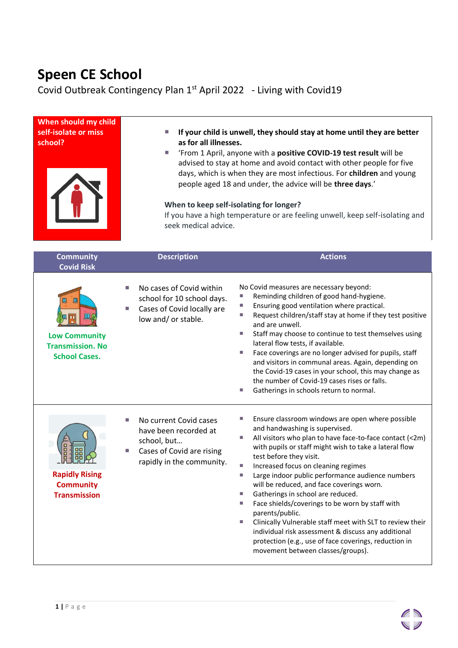## **Speen CE School**

Covid Outbreak Contingency Plan  $1<sup>st</sup>$  April 2022 - Living with Covid19

| When should my child<br>self-isolate or miss<br>school?                           | If your child is unwell, they should stay at home until they are better<br>Ш<br>as for all illnesses.<br>'From 1 April, anyone with a positive COVID-19 test result will be<br>U.<br>advised to stay at home and avoid contact with other people for five<br>days, which is when they are most infectious. For children and young<br>people aged 18 and under, the advice will be three days.'<br>When to keep self-isolating for longer?<br>If you have a high temperature or are feeling unwell, keep self-isolating and<br>seek medical advice. |                                                                                                                                                                                                                                                                                                                                                                                                                                                                                                                                                                                                                                                                                                                                             |
|-----------------------------------------------------------------------------------|----------------------------------------------------------------------------------------------------------------------------------------------------------------------------------------------------------------------------------------------------------------------------------------------------------------------------------------------------------------------------------------------------------------------------------------------------------------------------------------------------------------------------------------------------|---------------------------------------------------------------------------------------------------------------------------------------------------------------------------------------------------------------------------------------------------------------------------------------------------------------------------------------------------------------------------------------------------------------------------------------------------------------------------------------------------------------------------------------------------------------------------------------------------------------------------------------------------------------------------------------------------------------------------------------------|
| <b>Community</b><br><b>Covid Risk</b>                                             | <b>Description</b>                                                                                                                                                                                                                                                                                                                                                                                                                                                                                                                                 | <b>Actions</b>                                                                                                                                                                                                                                                                                                                                                                                                                                                                                                                                                                                                                                                                                                                              |
| <b>Low Community</b><br><b>Transmission. No</b><br><b>School Cases.</b>           | No cases of Covid within<br>school for 10 school days.<br>Cases of Covid locally are<br>L.<br>low and/ or stable.                                                                                                                                                                                                                                                                                                                                                                                                                                  | No Covid measures are necessary beyond:<br>Reminding children of good hand-hygiene.<br>Ensuring good ventilation where practical.<br>u.<br>Request children/staff stay at home if they test positive<br>u.<br>and are unwell.<br>Staff may choose to continue to test themselves using<br>ш<br>lateral flow tests, if available.<br>Face coverings are no longer advised for pupils, staff<br>ш<br>and visitors in communal areas. Again, depending on<br>the Covid-19 cases in your school, this may change as<br>the number of Covid-19 cases rises or falls.<br>Gatherings in schools return to normal.<br>ш                                                                                                                             |
| <u>uhurky</u><br><b>Rapidly Rising</b><br><b>Community</b><br><b>Transmission</b> | No current Covid cases<br>D.<br>have been recorded at<br>school, but<br>Cases of Covid are rising<br>rapidly in the community.                                                                                                                                                                                                                                                                                                                                                                                                                     | Ensure classroom windows are open where possible<br>and handwashing is supervised.<br>All visitors who plan to have face-to-face contact (<2m)<br>L.<br>with pupils or staff might wish to take a lateral flow<br>test before they visit.<br>п<br>Increased focus on cleaning regimes<br>Large indoor public performance audience numbers<br>u.<br>will be reduced, and face coverings worn.<br>Gatherings in school are reduced.<br>u.<br>Face shields/coverings to be worn by staff with<br>u.<br>parents/public.<br>Clinically Vulnerable staff meet with SLT to review their<br>u.<br>individual risk assessment & discuss any additional<br>protection (e.g., use of face coverings, reduction in<br>movement between classes/groups). |